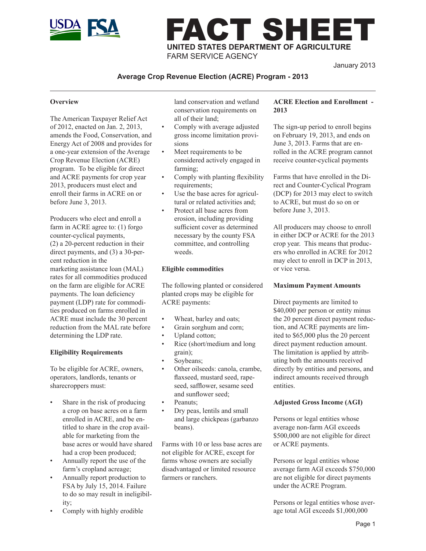

# FACT SHEET **UNITED STATES DEPARTMENT OF AGRICULTURE** FARM SERVICE AGENCY

January 2013

## **Average Crop Revenue Election (ACRE) Program - 2013**

#### **Overview**

The American Taxpayer Relief Act of 2012, enacted on Jan. 2, 2013, amends the Food, Conservation, and Energy Act of 2008 and provides for a one-year extension of the Average Crop Revenue Election (ACRE) program. To be eligible for direct and ACRE payments for crop year 2013, producers must elect and enroll their farms in ACRE on or before June 3, 2013.

Producers who elect and enroll a farm in ACRE agree to: (1) forgo counter-cyclical payments, (2) a 20-percent reduction in their direct payments, and (3) a 30-percent reduction in the marketing assistance loan (MAL) rates for all commodities produced on the farm are eligible for ACRE payments. The loan deficiency payment (LDP) rate for commodities produced on farms enrolled in ACRE must include the 30 percent reduction from the MAL rate before determining the LDP rate.

#### **Eligibility Requirements**

To be eligible for ACRE, owners, operators, landlords, tenants or sharecroppers must:

- Share in the risk of producing a crop on base acres on a farm enrolled in ACRE, and be entitled to share in the crop available for marketing from the base acres or would have shared had a crop been produced;
- Annually report the use of the farm's cropland acreage;
- Annually report production to FSA by July 15, 2014. Failure to do so may result in ineligibility;
- Comply with highly erodible

land conservation and wetland conservation requirements on all of their land;

- Comply with average adjusted gross income limitation provisions
- Meet requirements to be considered actively engaged in farming;
- Comply with planting flexibility requirements;
- Use the base acres for agricultural or related activities and;
- Protect all base acres from erosion, including providing sufficient cover as determined necessary by the county FSA committee, and controlling weeds.

#### **Eligible commodities**

The following planted or considered planted crops may be eligible for ACRE payments:

- Wheat, barley and oats;
- Grain sorghum and corn;
- Upland cotton;
- Rice (short/medium and long grain);
- Soybeans;
- Other oilseeds: canola, crambe, flaxseed, mustard seed, rapeseed, safflower, sesame seed and sunflower seed;
- Peanuts;
- Dry peas, lentils and small and large chickpeas (garbanzo beans).

Farms with 10 or less base acres are not eligible for ACRE, except for farms whose owners are socially disadvantaged or limited resource farmers or ranchers.

### **ACRE Election and Enrollment - 2013**

The sign-up period to enroll begins on February 19, 2013, and ends on June 3, 2013. Farms that are enrolled in the ACRE program cannot receive counter-cyclical payments

Farms that have enrolled in the Direct and Counter-Cyclical Program (DCP) for 2013 may elect to switch to ACRE, but must do so on or before June 3, 2013.

All producers may choose to enroll in either DCP or ACRE for the 2013 crop year. This means that producers who enrolled in ACRE for 2012 may elect to enroll in DCP in 2013, or vice versa.

#### **Maximum Payment Amounts**

Direct payments are limited to \$40,000 per person or entity minus the 20 percent direct payment reduction, and ACRE payments are limited to \$65,000 plus the 20 percent direct payment reduction amount. The limitation is applied by attributing both the amounts received directly by entities and persons, and indirect amounts received through entities.

### **Adjusted Gross Income (AGI)**

Persons or legal entities whose average non-farm AGI exceeds \$500,000 are not eligible for direct or ACRE payments.

Persons or legal entities whose average farm AGI exceeds \$750,000 are not eligible for direct payments under the ACRE Program.

Persons or legal entities whose average total AGI exceeds \$1,000,000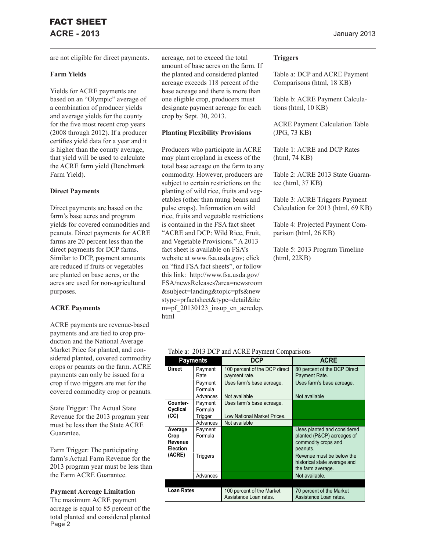are not eligible for direct payments.

#### **Farm Yields**

Yields for ACRE payments are based on an "Olympic" average of a combination of producer yields and average yields for the county for the five most recent crop years (2008 through 2012). If a producer certifies yield data for a year and it is higher than the county average, that yield will be used to calculate the ACRE farm yield (Benchmark Farm Yield).

#### **Direct Payments**

Direct payments are based on the farm's base acres and program yields for covered commodities and peanuts. Direct payments for ACRE farms are 20 percent less than the direct payments for DCP farms. Similar to DCP, payment amounts are reduced if fruits or vegetables are planted on base acres, or the acres are used for non-agricultural purposes.

### **ACRE Payments**

ACRE payments are revenue-based payments and are tied to crop production and the National Average Market Price for planted, and considered planted, covered commodity crops or peanuts on the farm. ACRE payments can only be issued for a crop if two triggers are met for the covered commodity crop or peanuts.

State Trigger: The Actual State Revenue for the 2013 program year must be less than the State ACRE Guarantee.

Farm Trigger: The participating farm's Actual Farm Revenue for the 2013 program year must be less than the Farm ACRE Guarantee.

#### **Payment Acreage Limitation**

The maximum ACRE payment acreage is equal to 85 percent of the total planted and considered planted Page<sup>2</sup>

acreage, not to exceed the total amount of base acres on the farm. If the planted and considered planted acreage exceeds 118 percent of the base acreage and there is more than one eligible crop, producers must designate payment acreage for each crop by Sept. 30, 2013.

#### **Planting Flexibility Provisions**

Producers who participate in ACRE may plant cropland in excess of the total base acreage on the farm to any commodity. However, producers are subject to certain restrictions on the planting of wild rice, fruits and vegetables (other than mung beans and pulse crops). Information on wild rice, fruits and vegetable restrictions is contained in the FSA fact sheet "ACRE and DCP: Wild Rice, Fruit, and Vegetable Provisions." A 2013 fact sheet is available on FSA's website at www.fsa.usda.gov; click on "find FSA fact sheets", or follow this link: http://www.fsa.usda.gov/ FSA/newsReleases?area=newsroom &subject=landing&topic=pfs&new stype=prfactsheet&type=detail&ite m=pf 20130123 insup en acredcp. html

#### **Triggers**

Table a: DCP and ACRE Payment Comparisons (html, 18 KB)

Table b: ACRE Payment Calculations (html, 10 KB)

ACRE Payment Calculation Table (JPG, 73 KB)

Table 1: ACRE and DCP Rates (html, 74 KB)

Table 2: ACRE 2013 State Guarantee (html, 37 KB)

Table 3: ACRE Triggers Payment Calculation for 2013 (html, 69 KB)

Table 4: Projected Payment Comparison (html, 26 KB)

Table 5: 2013 Program Timeline (html, 22KB)

#### Table a: 2013 DCP and ACRE Payment Comparisons

|                                               | <b>Payments</b>                                   | <b>DCP</b>                                                                                   | <b>ACRE</b>                                                                                  |
|-----------------------------------------------|---------------------------------------------------|----------------------------------------------------------------------------------------------|----------------------------------------------------------------------------------------------|
| <b>Direct</b>                                 | Payment<br>Rate<br>Payment<br>Formula<br>Advances | 100 percent of the DCP direct<br>payment rate.<br>Uses farm's base acreage.<br>Not available | 80 percent of the DCP Direct<br>Payment Rate.<br>Uses farm's base acreage.<br>Not available  |
| Counter-<br>Cyclical                          | Payment<br>Formula                                | Uses farm's base acreage.                                                                    |                                                                                              |
| (CC)                                          | Trigger                                           | Low National Market Prices.                                                                  |                                                                                              |
|                                               | Advances                                          | Not available                                                                                |                                                                                              |
| Average<br>Crop<br>Revenue<br><b>Election</b> | Payment<br>Formula                                |                                                                                              | Uses planted and considered<br>planted (P&CP) acreages of<br>commodity crops and<br>peanuts. |
| (ACRE)                                        | Triggers                                          |                                                                                              | Revenue must be below the<br>historical state average and<br>the farm average.               |
|                                               | Advances                                          |                                                                                              | Not available.                                                                               |
|                                               |                                                   |                                                                                              |                                                                                              |
| <b>Loan Rates</b>                             |                                                   | 100 percent of the Market<br>Assistance Loan rates.                                          | 70 percent of the Market<br>Assistance Loan rates.                                           |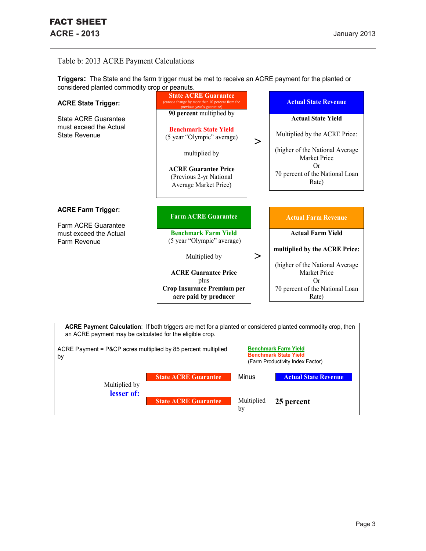## Table b: 2013 ACRE Payment Calculations

| considered planted commodity crop or peanuts.                          |                                                                                                                                                                                            |        |                                                                                                                                                                        |
|------------------------------------------------------------------------|--------------------------------------------------------------------------------------------------------------------------------------------------------------------------------------------|--------|------------------------------------------------------------------------------------------------------------------------------------------------------------------------|
| <b>ACRE State Trigger:</b>                                             | <b>State ACRE Guarantee</b><br>(cannot change by more than 10 percent from the<br>previous year's guarantee)                                                                               |        | <b>Actual State Revenue</b>                                                                                                                                            |
| State ACRE Guarantee<br>must exceed the Actual<br><b>State Revenue</b> | 90 percent multiplied by<br><b>Benchmark State Yield</b><br>(5 year "Olympic" average)<br>multiplied by<br><b>ACRE Guarantee Price</b><br>(Previous 2-yr National<br>Average Market Price) | $\geq$ | <b>Actual State Yield</b><br>Multiplied by the ACRE Price:<br>(higher of the National Average<br><b>Market Price</b><br>Or<br>70 percent of the National Loan<br>Rate) |
| <b>ACRE Farm Trigger:</b><br>Farm ACRE Guarantee                       | <b>Farm ACRE Guarantee</b>                                                                                                                                                                 |        | <b>Actual Farm Revenue</b>                                                                                                                                             |
| must exceed the Actual<br>Farm Revenue                                 | <b>Benchmark Farm Yield</b><br>(5 year "Olympic" average)                                                                                                                                  |        | <b>Actual Farm Yield</b>                                                                                                                                               |
|                                                                        | Multiplied by                                                                                                                                                                              | $\geq$ | multiplied by the ACRE Price:                                                                                                                                          |
|                                                                        | <b>ACRE Guarantee Price</b><br>plus                                                                                                                                                        |        | (higher of the National Average<br><b>Market Price</b><br>Or                                                                                                           |
|                                                                        | <b>Crop Insurance Premium per</b><br>acre paid by producer                                                                                                                                 |        | 70 percent of the National Loan<br>Rate)                                                                                                                               |

**Triggers:** The State and the farm trigger must be met to receive an ACRE payment for the planted or considered planted commodity crop or peanuts.

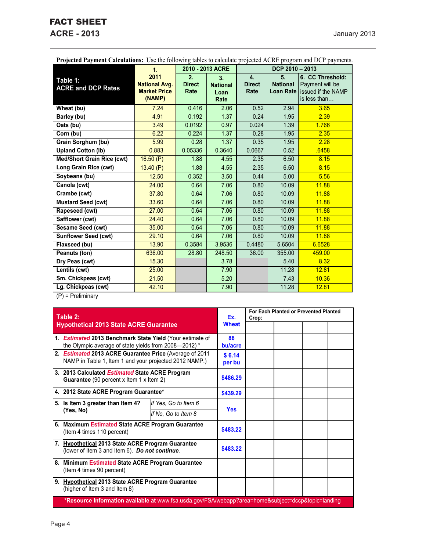# FACT SHEET

**ACRE - 2013** January 2013

| Trojecteu Fayment Calculations. Osc the following tables to calculate projected ACKL program and DCT payments. | 1.                                                            |                             | 2010 - 2013 ACRE                      |                             | DCP 2010 - 2013                    |                                                                           |
|----------------------------------------------------------------------------------------------------------------|---------------------------------------------------------------|-----------------------------|---------------------------------------|-----------------------------|------------------------------------|---------------------------------------------------------------------------|
| Table 1:<br><b>ACRE and DCP Rates</b>                                                                          | 2011<br><b>National Avg.</b><br><b>Market Price</b><br>(NAMP) | 2.<br><b>Direct</b><br>Rate | 3.<br><b>National</b><br>Loan<br>Rate | 4.<br><b>Direct</b><br>Rate | 5.<br><b>National</b><br>Loan Rate | 6. CC Threshold:<br>Payment will be<br>issued if the NAMP<br>is less than |
| Wheat (bu)                                                                                                     | 7.24                                                          | 0.416                       | 2.06                                  | 0.52                        | 2.94                               | 3.65                                                                      |
| Barley (bu)                                                                                                    | 4.91                                                          | 0.192                       | 1.37                                  | 0.24                        | 1.95                               | 2.39                                                                      |
| Oats (bu)                                                                                                      | 3.49                                                          | 0.0192                      | 0.97                                  | 0.024                       | 1.39                               | 1.766                                                                     |
| Corn (bu)                                                                                                      | 6.22                                                          | 0.224                       | 1.37                                  | 0.28                        | 1.95                               | 2.35                                                                      |
| Grain Sorghum (bu)                                                                                             | 5.99                                                          | 0.28                        | 1.37                                  | 0.35                        | 1.95                               | 2.28                                                                      |
| <b>Upland Cotton (lb)</b>                                                                                      | 0.883                                                         | 0.05336                     | 0.3640                                | 0.0667                      | 0.52                               | .6458                                                                     |
| <b>Med/Short Grain Rice (cwt)</b>                                                                              | 16.50(P)                                                      | 1.88                        | 4.55                                  | 2.35                        | 6.50                               | 8.15                                                                      |
| Long Grain Rice (cwt)                                                                                          | 13.40(P)                                                      | 1.88                        | 4.55                                  | 2.35                        | 6.50                               | 8.15                                                                      |
| Soybeans (bu)                                                                                                  | 12.50                                                         | 0.352                       | 3.50                                  | 0.44                        | 5.00                               | 5.56                                                                      |
| Canola (cwt)                                                                                                   | 24.00                                                         | 0.64                        | 7.06                                  | 0.80                        | 10.09                              | 11.88                                                                     |
| Crambe (cwt)                                                                                                   | 37.80                                                         | 0.64                        | 7.06                                  | 0.80                        | 10.09                              | 11.88                                                                     |
| Mustard Seed (cwt)                                                                                             | 33.60                                                         | 0.64                        | 7.06                                  | 0.80                        | 10.09                              | 11.88                                                                     |
| Rapeseed (cwt)                                                                                                 | 27.00                                                         | 0.64                        | 7.06                                  | 0.80                        | 10.09                              | 11.88                                                                     |
| Safflower (cwt)                                                                                                | 24.40                                                         | 0.64                        | 7.06                                  | 0.80                        | 10.09                              | 11.88                                                                     |
| Sesame Seed (cwt)                                                                                              | 35.00                                                         | 0.64                        | 7.06                                  | 0.80                        | 10.09                              | 11.88                                                                     |
| <b>Sunflower Seed (cwt)</b>                                                                                    | 29.10                                                         | 0.64                        | 7.06                                  | 0.80                        | 10.09                              | 11.88                                                                     |
| Flaxseed (bu)                                                                                                  | 13.90                                                         | 0.3584                      | 3.9536                                | 0.4480                      | 5.6504                             | 6.6528                                                                    |
| Peanuts (ton)                                                                                                  | 636.00                                                        | 28.80                       | 248.50                                | 36.00                       | 355.00                             | 459.00                                                                    |
| Dry Peas (cwt)                                                                                                 | 15.30                                                         |                             | 3.78                                  |                             | 5.40                               | 8.32                                                                      |
| Lentils (cwt)                                                                                                  | 25.00                                                         |                             | 7.90                                  |                             | 11.28                              | 12.81                                                                     |
| Sm. Chickpeas (cwt)                                                                                            | 21.50                                                         |                             | 5.20                                  |                             | 7.43                               | 10.36                                                                     |
| Lg. Chickpeas (cwt)                                                                                            | 42.10                                                         |                             | 7.90                                  |                             | 11.28                              | 12.81                                                                     |

**Projected Payment Calculations:** Use the following tables to calculate projected ACRE program and DCP payments.

(P) = Preliminary

| Table 2:                                                                                                                  |                      |            | For Each Planted or Prevented Planted<br>Crop: |  |  |  |
|---------------------------------------------------------------------------------------------------------------------------|----------------------|------------|------------------------------------------------|--|--|--|
| <b>Hypothetical 2013 State ACRE Guarantee</b>                                                                             | <b>Wheat</b>         |            |                                                |  |  |  |
| 1. <b>Estimated 2013 Benchmark State Yield</b> (Your estimate of<br>the Olympic average of state yields from 2008-2012) * |                      |            |                                                |  |  |  |
| 2. Estimated 2013 ACRE Guarantee Price (Average of 2011<br>NAMP in Table 1, Item 1 and your projected 2012 NAMP.)         |                      |            |                                                |  |  |  |
| 3. 2013 Calculated Estimated State ACRE Program<br><b>Guarantee</b> (90 percent x Item 1 x Item 2)                        |                      |            |                                                |  |  |  |
| 4. 2012 State ACRE Program Guarantee*                                                                                     |                      |            |                                                |  |  |  |
| 5. Is Item 3 greater than Item 4?                                                                                         | If Yes, Go to Item 6 |            |                                                |  |  |  |
| (Yes, No)                                                                                                                 | If No. Go to Item 8  | <b>Yes</b> |                                                |  |  |  |
| 6. Maximum Estimated State ACRE Program Guarantee<br>(Item 4 times 110 percent)                                           |                      | \$483.22   |                                                |  |  |  |
| 7. Hypothetical 2013 State ACRE Program Guarantee<br>(lower of Item 3 and Item 6). Do not continue.                       |                      |            |                                                |  |  |  |
| 8. Minimum Estimated State ACRE Program Guarantee<br>(Item 4 times 90 percent)                                            |                      |            |                                                |  |  |  |
| 9. Hypothetical 2013 State ACRE Program Guarantee<br>(higher of Item 3 and Item 8)                                        |                      |            |                                                |  |  |  |
| *Resource Information available at www.fsa.usda.gov/FSA/webapp?area=home&subject=dccp&topic=landing                       |                      |            |                                                |  |  |  |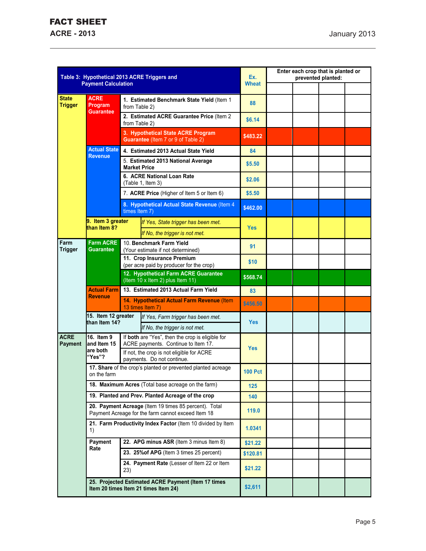|                                |                                                                                                             | Table 3: Hypothetical 2013 ACRE Triggers and                 | Ex.<br><b>Wheat</b>                                                                         |                | Enter each crop that is planted or<br>prevented planted: |  |  |
|--------------------------------|-------------------------------------------------------------------------------------------------------------|--------------------------------------------------------------|---------------------------------------------------------------------------------------------|----------------|----------------------------------------------------------|--|--|
|                                | <b>Payment Calculation</b>                                                                                  |                                                              |                                                                                             |                |                                                          |  |  |
| <b>State</b><br><b>Trigger</b> | <b>ACRE</b><br>Program<br>Guarantee                                                                         | from Table 2)                                                | 1. Estimated Benchmark State Yield (Item 1                                                  | 88             |                                                          |  |  |
|                                |                                                                                                             | from Table 2)                                                | 2. Estimated ACRE Guarantee Price (Item 2                                                   | \$6.14         |                                                          |  |  |
|                                |                                                                                                             |                                                              | 3. Hypothetical State ACRE Program<br>Guarantee (Item 7 or 9 of Table 2)                    | \$483.22       |                                                          |  |  |
|                                | <b>Actual State</b><br><b>Revenue</b>                                                                       |                                                              | 4. Estimated 2013 Actual State Yield                                                        | 84             |                                                          |  |  |
|                                |                                                                                                             | <b>Market Price</b>                                          | 5. Estimated 2013 National Average                                                          | \$5.50         |                                                          |  |  |
|                                |                                                                                                             |                                                              | 6. ACRE National Loan Rate<br>(Table 1, Item 3)                                             | \$2.06         |                                                          |  |  |
|                                |                                                                                                             |                                                              | 7. ACRE Price (Higher of Item 5 or Item 6)                                                  | \$5.50         |                                                          |  |  |
|                                |                                                                                                             | times Item 7)                                                | 8. Hypothetical Actual State Revenue (Item 4                                                | \$462.00       |                                                          |  |  |
|                                | 9. Item 3 greater<br>than Item 8?                                                                           |                                                              | If Yes, State trigger has been met.<br>If No, the trigger is not met.                       | <b>Yes</b>     |                                                          |  |  |
| Farm<br><b>Trigger</b>         | <b>Farm ACRE</b><br><b>Guarantee</b>                                                                        |                                                              | 10. Benchmark Farm Yield<br>(Your estimate if not determined)                               | 91             |                                                          |  |  |
|                                |                                                                                                             |                                                              | 11. Crop Insurance Premium<br>(per acre paid by producer for the crop)                      | \$10           |                                                          |  |  |
|                                |                                                                                                             |                                                              | 12. Hypothetical Farm ACRE Guarantee<br>(Item 10 x Item 2) plus Item 11)                    | \$568.74       |                                                          |  |  |
|                                | <b>Actual Farm</b>                                                                                          |                                                              | 13. Estimated 2013 Actual Farm Yield                                                        | 83             |                                                          |  |  |
|                                | <b>Revenue</b>                                                                                              |                                                              | 14. Hypothetical Actual Farm Revenue (Item<br>13 times Item 7)                              | \$456.50       |                                                          |  |  |
|                                | 15. Item 12 greater<br>than Item 14?                                                                        |                                                              | If Yes, Farm trigger has been met.                                                          | <b>Yes</b>     |                                                          |  |  |
| <b>ACRE</b>                    | 16. Item 9                                                                                                  |                                                              | If No, the trigger is not met.<br>If both are "Yes", then the crop is eligible for          |                |                                                          |  |  |
| <b>Payment</b>                 | and Item 15                                                                                                 |                                                              | ACRE payments. Continue to Item 17.                                                         | <b>Yes</b>     |                                                          |  |  |
|                                | are both<br>"Yes"?                                                                                          |                                                              | If not, the crop is not eligible for ACRE<br>payments. Do not continue.                     |                |                                                          |  |  |
|                                | on the farm                                                                                                 | 17. Share of the crop's planted or prevented planted acreage |                                                                                             | <b>100 Pct</b> |                                                          |  |  |
|                                | 18. Maximum Acres (Total base acreage on the farm)                                                          |                                                              |                                                                                             |                |                                                          |  |  |
|                                | 19. Planted and Prev. Planted Acreage of the crop                                                           |                                                              |                                                                                             |                |                                                          |  |  |
|                                | 20. Payment Acreage (Item 19 times 85 percent). Total<br>Payment Acreage for the farm cannot exceed Item 18 |                                                              | 119.0                                                                                       |                |                                                          |  |  |
|                                | 1)                                                                                                          | 21. Farm Productivity Index Factor (Item 10 divided by Item  |                                                                                             | 1.0341         |                                                          |  |  |
|                                | Payment<br>22. APG minus ASR (Item 3 minus Item 8)                                                          |                                                              |                                                                                             | \$21.22        |                                                          |  |  |
|                                | Rate                                                                                                        | 23. 25% of APG (Item 3 times 25 percent)                     |                                                                                             | \$120.81       |                                                          |  |  |
|                                |                                                                                                             | 23)                                                          | 24. Payment Rate (Lesser of Item 22 or Item                                                 | \$21.22        |                                                          |  |  |
|                                |                                                                                                             |                                                              | 25. Projected Estimated ACRE Payment (Item 17 times<br>Item 20 times Item 21 times Item 24) | \$2,611        |                                                          |  |  |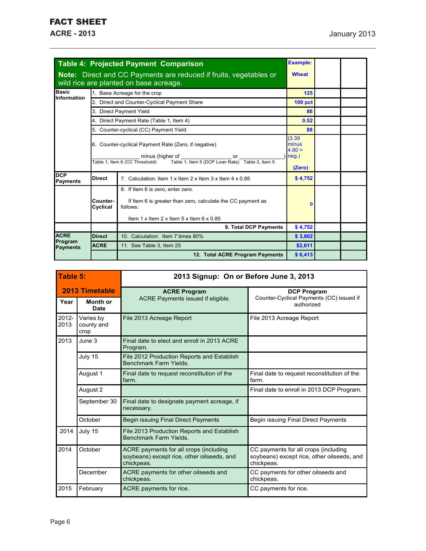|                               |                      | Table 4: Projected Payment Comparison                                                                                                                                                | <b>Example:</b>                                |  |
|-------------------------------|----------------------|--------------------------------------------------------------------------------------------------------------------------------------------------------------------------------------|------------------------------------------------|--|
|                               |                      | Note: Direct and CC Payments are reduced if fruits, vegetables or<br>wild rice are planted on base acreage.                                                                          | <b>Wheat</b>                                   |  |
| Basic<br>Information          |                      | 1. Base Acreage for the crop                                                                                                                                                         | 125                                            |  |
|                               |                      | 2. Direct and Counter-Cyclical Payment Share                                                                                                                                         | <b>100 pct</b>                                 |  |
|                               |                      | 3. Direct Payment Yield                                                                                                                                                              | 86                                             |  |
|                               |                      | 4. Direct Payment Rate (Table 1, Item 4)                                                                                                                                             | 0.52                                           |  |
|                               |                      | 5. Counter-cyclical (CC) Payment Yield                                                                                                                                               | 88                                             |  |
|                               |                      | 6. Counter-cyclical Payment Rate (Zero, if negative)<br>minus (higher of<br>or<br>Table 1, Item 6 (CC Threshold)<br>Table 1. Item 5 (DCP Loan Rate) Table 3. Item 5                  | (3.39)<br>minus<br>$4.60 =$<br>neg.)<br>(Zero) |  |
| <b>DCP</b><br><b>Payments</b> | <b>Direct</b>        | 7. Calculation: Item 1 x Item 2 x Item 3 x Item 4 x 0.85                                                                                                                             | \$4,752                                        |  |
|                               | Counter-<br>Cyclical | 8. If Item 6 is zero, enter zero.<br>If Item 6 is greater than zero, calculate the CC payment as<br>follows:<br>Item $1 \times$ Item $2 \times$ Item $5 \times$ Item $6 \times 0.85$ | $\mathbf 0$                                    |  |
|                               |                      | 9. Total DCP Payments                                                                                                                                                                | \$4,752                                        |  |
| <b>ACRE</b>                   | <b>Direct</b>        | 10. Calculation: Item 7 times 80%                                                                                                                                                    |                                                |  |
| Program<br><b>Payments</b>    | <b>ACRE</b>          | 11. See Table 3, Item 25                                                                                                                                                             | \$2,611                                        |  |
|                               |                      | 12. Total ACRE Program Payments                                                                                                                                                      | \$6,413                                        |  |

| Table 5:       |                                 | 2013 Signup: On or Before June 3, 2013                                                             |                                                                                                  |  |  |  |
|----------------|---------------------------------|----------------------------------------------------------------------------------------------------|--------------------------------------------------------------------------------------------------|--|--|--|
| 2013 Timetable |                                 | <b>ACRE Program</b><br>ACRE Payments issued if eligible.                                           | <b>DCP Program</b><br>Counter-Cyclical Payments (CC) issued if                                   |  |  |  |
| Year           | Month or<br>Date                |                                                                                                    | authorized                                                                                       |  |  |  |
| 2012-<br>2013  | Varies by<br>county and<br>crop | File 2013 Acreage Report                                                                           | File 2013 Acreage Report                                                                         |  |  |  |
| 2013           | June 3                          | Final date to elect and enroll in 2013 ACRE<br>Program.                                            |                                                                                                  |  |  |  |
|                | July 15                         | File 2012 Production Reports and Establish<br>Benchmark Farm Yields.                               |                                                                                                  |  |  |  |
|                | August 1                        | Final date to request reconstitution of the<br>farm.                                               | Final date to request reconstitution of the<br>farm.                                             |  |  |  |
|                | August 2                        |                                                                                                    | Final date to enroll in 2013 DCP Program.                                                        |  |  |  |
|                | September 30                    | Final date to designate payment acreage, if<br>necessary.                                          |                                                                                                  |  |  |  |
|                | October                         | Begin issuing Final Direct Payments                                                                | Begin issuing Final Direct Payments                                                              |  |  |  |
| 2014           | July 15                         | File 2013 Production Reports and Establish<br><b>Benchmark Farm Yields</b>                         |                                                                                                  |  |  |  |
| 2014           | October                         | ACRE payments for all crops (including<br>soybeans) except rice, other oilseeds, and<br>chickpeas. | CC payments for all crops (including<br>soybeans) except rice, other oilseeds, and<br>chickpeas. |  |  |  |
|                | December                        | ACRE payments for other oilseeds and<br>chickpeas.                                                 | CC payments for other oilseeds and<br>chickpeas.                                                 |  |  |  |
| 2015           | February                        | ACRE payments for rice.                                                                            | CC payments for rice.                                                                            |  |  |  |